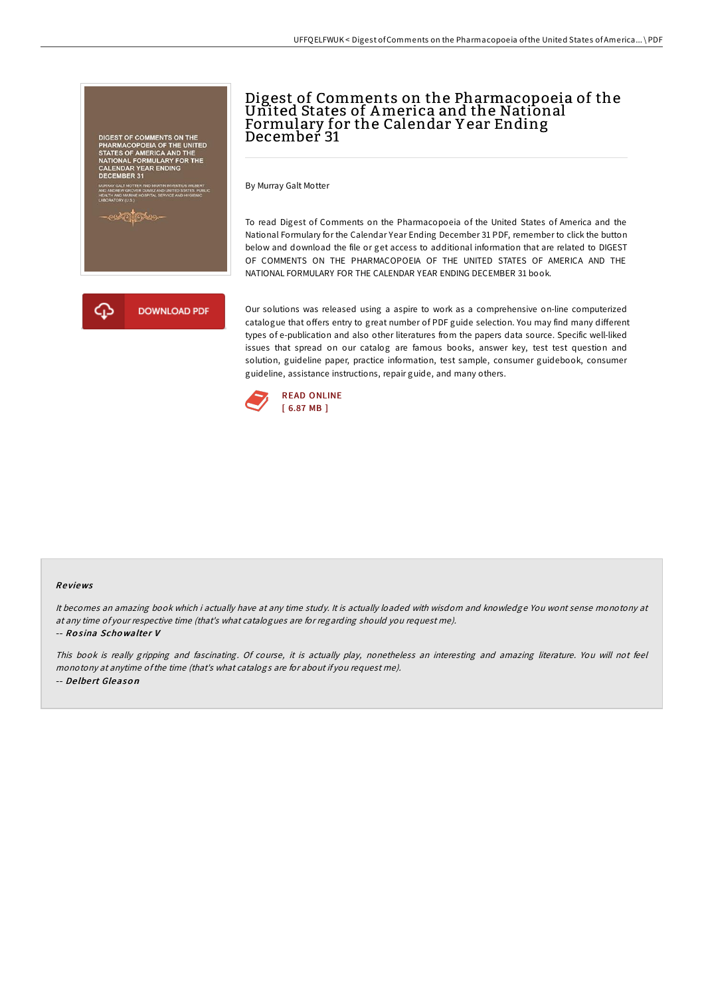# EST OF COMMENTS ON THE<br>ARMACOPOEIA OF THE UNITED<br>(TES OF AMERICA AND THE L FORMULARY FOR THE<br>AR YEAR ENDING

# Digest of Comments on the Pharmacopoeia of the United States of America and the National Formulary for the Calendar Y ear Ending December 31

By Murray Galt Motter

To read Digest of Comments on the Pharmacopoeia of the United States of America and the National Formulary for the Calendar Year Ending December 31 PDF, remember to click the button below and download the file or get access to additional information that are related to DIGEST OF COMMENTS ON THE PHARMACOPOEIA OF THE UNITED STATES OF AMERICA AND THE NATIONAL FORMULARY FOR THE CALENDAR YEAR ENDING DECEMBER 31 book.



Our solutions was released using a aspire to work as a comprehensive on-line computerized catalogue that offers entry to great number of PDF guide selection. You may find many different types of e-publication and also other literatures from the papers data source. Specific well-liked issues that spread on our catalog are famous books, answer key, test test question and solution, guideline paper, practice information, test sample, consumer guidebook, consumer guideline, assistance instructions, repair guide, and many others.



#### Re views

It becomes an amazing book which i actually have at any time study. It is actually loaded with wisdom and knowledge You wont sense monotony at at any time of your respective time (that's what catalogues are for regarding should you request me).

#### -- Rosina Schowalter V

This book is really gripping and fascinating. Of course, it is actually play, nonetheless an interesting and amazing literature. You will not feel monotony at anytime ofthe time (that's what catalogs are for about if you request me). -- De lbe rt Gleaso <sup>n</sup>